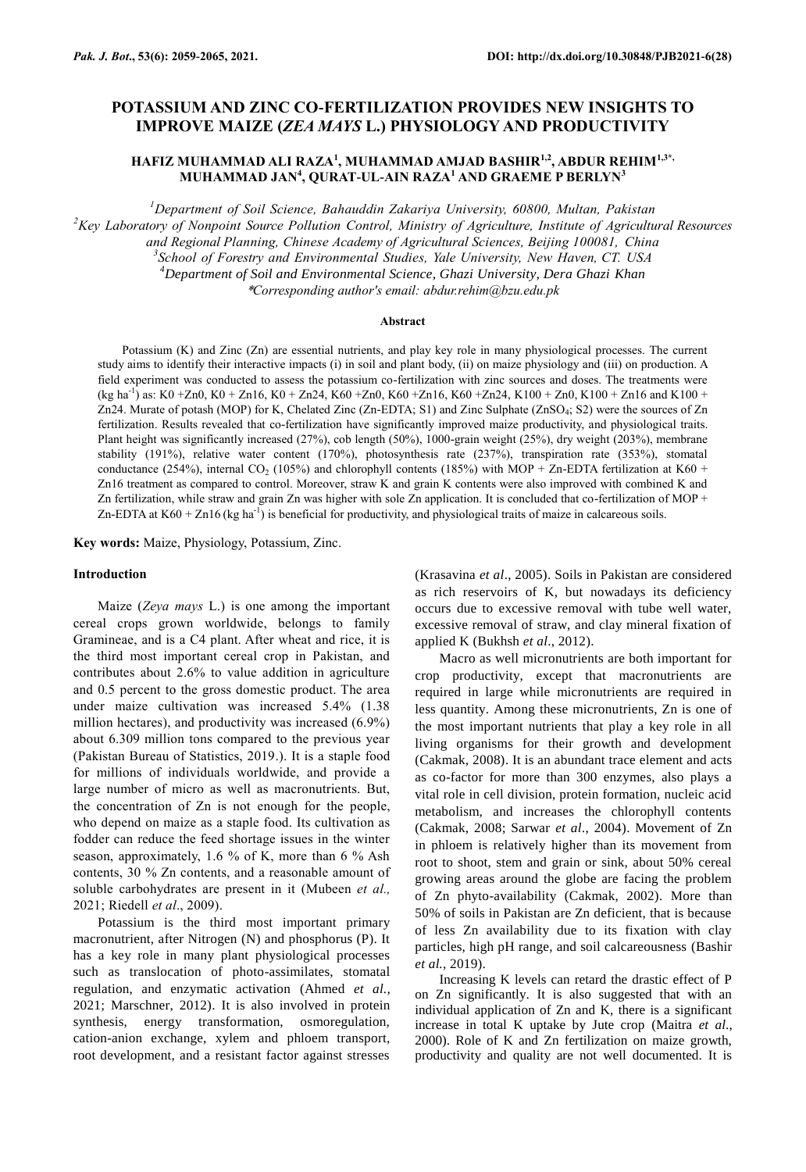# **POTASSIUM AND ZINC CO-FERTILIZATION PROVIDES NEW INSIGHTS TO IMPROVE MAIZE (***ZEA MAYS* **L.) PHYSIOLOGY AND PRODUCTIVITY**

**HAFIZ MUHAMMAD ALI RAZA<sup>1</sup> , MUHAMMAD AMJAD BASHIR1,2, ABDUR REHIM1,3\*, MUHAMMAD JAN<sup>4</sup> , QURAT-UL-AIN RAZA<sup>1</sup> AND GRAEME P BERLYN<sup>3</sup>**

*Department of Soil Science, Bahauddin Zakariya University, 60800, Multan, Pakistan Key Laboratory of Nonpoint Source Pollution Control, Ministry of Agriculture, Institute of Agricultural Resources and Regional Planning, Chinese Academy of Agricultural Sciences, Beijing 100081, China School of Forestry and Environmental Studies, Yale University, New Haven, CT. USA Department of Soil and Environmental Science, Ghazi University, Dera Ghazi Khan* \**Corresponding author's email: abdur.rehim@bzu.edu.pk*

#### **Abstract**

Potassium (K) and Zinc (Zn) are essential nutrients, and play key role in many physiological processes. The current study aims to identify their interactive impacts (i) in soil and plant body, (ii) on maize physiology and (iii) on production. A field experiment was conducted to assess the potassium co-fertilization with zinc sources and doses. The treatments were  $(kg ha<sup>-1</sup>)$  as: K0 +Zn0, K0 + Zn16, K0 + Zn24, K60 +Zn0, K60 +Zn16, K60 +Zn24, K100 + Zn0, K100 + Zn16 and K100 + Zn24. Murate of potash (MOP) for K, Chelated Zinc (Zn-EDTA; S1) and Zinc Sulphate (ZnSO<sub>4</sub>; S2) were the sources of Zn fertilization. Results revealed that co-fertilization have significantly improved maize productivity, and physiological traits. Plant height was significantly increased (27%), cob length (50%), 1000-grain weight (25%), dry weight (203%), membrane stability (191%), relative water content (170%), photosynthesis rate (237%), transpiration rate (353%), stomatal conductance (254%), internal CO<sub>2</sub> (105%) and chlorophyll contents (185%) with MOP + Zn-EDTA fertilization at K60 + Zn16 treatment as compared to control. Moreover, straw K and grain K contents were also improved with combined K and Zn fertilization, while straw and grain Zn was higher with sole Zn application. It is concluded that co-fertilization of MOP + Zn-EDTA at  $K60 + Zn16$  (kg ha<sup>-1</sup>) is beneficial for productivity, and physiological traits of maize in calcareous soils.

**Key words:** Maize, Physiology, Potassium, Zinc.

#### **Introduction**

Maize (*Zeya mays* L.) is one among the important cereal crops grown worldwide, belongs to family Gramineae, and is a C4 plant. After wheat and rice, it is the third most important cereal crop in Pakistan, and contributes about 2.6% to value addition in agriculture and 0.5 percent to the gross domestic product. The area under maize cultivation was increased 5.4% (1.38 million hectares), and productivity was increased (6.9%) about 6.309 million tons compared to the previous year (Pakistan Bureau of Statistics, 2019.). It is a staple food for millions of individuals worldwide, and provide a large number of micro as well as macronutrients. But, the concentration of Zn is not enough for the people, who depend on maize as a staple food. Its cultivation as fodder can reduce the feed shortage issues in the winter season, approximately, 1.6 % of K, more than 6 % Ash contents, 30 % Zn contents, and a reasonable amount of soluble carbohydrates are present in it (Mubeen *et al.,* 2021; Riedell *et al*., 2009).

Potassium is the third most important primary macronutrient, after Nitrogen (N) and phosphorus (P). It has a key role in many plant physiological processes such as translocation of photo-assimilates, stomatal regulation, and enzymatic activation (Ahmed *et al.,* 2021; Marschner, 2012). It is also involved in protein synthesis, energy transformation, osmoregulation, cation-anion exchange, xylem and phloem transport, root development, and a resistant factor against stresses (Krasavina *et al*., 2005). Soils in Pakistan are considered as rich reservoirs of K, but nowadays its deficiency occurs due to excessive removal with tube well water, excessive removal of straw, and clay mineral fixation of applied K (Bukhsh *et al*., 2012).

Macro as well micronutrients are both important for crop productivity, except that macronutrients are required in large while micronutrients are required in less quantity. Among these micronutrients, Zn is one of the most important nutrients that play a key role in all living organisms for their growth and development (Cakmak, 2008). It is an abundant trace element and acts as co-factor for more than 300 enzymes, also plays a vital role in cell division, protein formation, nucleic acid metabolism, and increases the chlorophyll contents (Cakmak, 2008; Sarwar *et al*., 2004). Movement of Zn in phloem is relatively higher than its movement from root to shoot, stem and grain or sink, about 50% cereal growing areas around the globe are facing the problem of Zn phyto-availability (Cakmak, 2002). More than 50% of soils in Pakistan are Zn deficient, that is because of less Zn availability due to its fixation with clay particles, high pH range, and soil calcareousness (Bashir *et al.,* 2019).

Increasing K levels can retard the drastic effect of P on Zn significantly. It is also suggested that with an individual application of Zn and K, there is a significant increase in total K uptake by Jute crop (Maitra *et al*., 2000). Role of K and Zn fertilization on maize growth, productivity and quality are not well documented. It is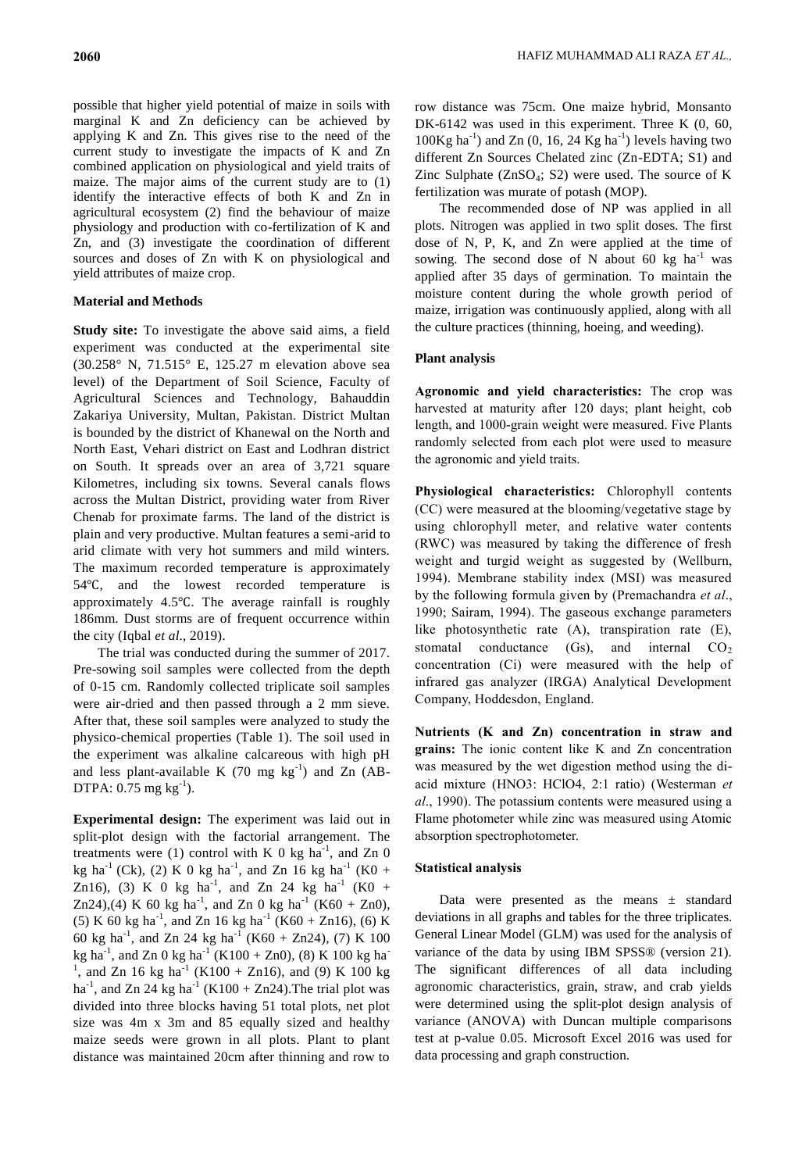possible that higher yield potential of maize in soils with marginal K and Zn deficiency can be achieved by applying K and Zn. This gives rise to the need of the current study to investigate the impacts of K and Zn combined application on physiological and yield traits of maize. The major aims of the current study are to (1) identify the interactive effects of both K and Zn in agricultural ecosystem (2) find the behaviour of maize physiology and production with co-fertilization of K and Zn, and (3) investigate the coordination of different sources and doses of Zn with K on physiological and yield attributes of maize crop.

## **Material and Methods**

**Study site:** To investigate the above said aims, a field experiment was conducted at the experimental site (30.258° N, 71.515° E, 125.27 m elevation above sea level) of the Department of Soil Science, Faculty of Agricultural Sciences and Technology, Bahauddin Zakariya University, Multan, Pakistan. District Multan is bounded by the district of Khanewal on the North and North East, Vehari district on East and Lodhran district on South. It spreads over an area of 3,721 square Kilometres, including six towns. Several canals flows across the Multan District, providing water from River Chenab for proximate farms. The land of the district is plain and very productive. Multan features a semi-arid to arid climate with very hot summers and mild winters. The maximum recorded temperature is approximately 54℃, and the lowest recorded temperature is approximately 4.5℃. The average rainfall is roughly 186mm. Dust storms are of frequent occurrence within the city (Iqbal *et al*., 2019).

The trial was conducted during the summer of 2017. Pre-sowing soil samples were collected from the depth of 0-15 cm. Randomly collected triplicate soil samples were air-dried and then passed through a 2 mm sieve. After that, these soil samples were analyzed to study the physico-chemical properties (Table 1). The soil used in the experiment was alkaline calcareous with high pH and less plant-available K  $(70 \text{ mg kg}^{-1})$  and Zn  $(AB -$ DTPA:  $0.75 \text{ mg kg}^{-1}$ ).

**Experimental design:** The experiment was laid out in split-plot design with the factorial arrangement. The treatments were (1) control with K 0 kg ha<sup>-1</sup>, and Zn 0 kg ha<sup>-1</sup> (Ck), (2) K 0 kg ha<sup>-1</sup>, and Zn 16 kg ha<sup>-1</sup> (K0 + Zn16), (3) K 0 kg ha<sup>-1</sup>, and Zn 24 kg ha<sup>-1</sup> (K0 + Zn24),(4) K 60 kg ha<sup>-1</sup>, and Zn 0 kg ha<sup>-1</sup> (K60 + Zn0), (5) K 60 kg ha<sup>-1</sup>, and Zn 16 kg ha<sup>-1</sup> (K60 + Zn16), (6) K 60 kg ha<sup>-1</sup>, and Zn 24 kg ha<sup>-1</sup> (K60 + Zn24), (7) K 100 kg ha<sup>-1</sup>, and Zn 0 kg ha<sup>-1</sup> (K100 + Zn0), (8) K 100 kg ha<sup>-1</sup> <sup>1</sup>, and Zn 16 kg ha<sup>-1</sup> (K100 + Zn16), and (9) K 100 kg ha<sup>-1</sup>, and Zn 24 kg ha<sup>-1</sup> (K100 + Zn24). The trial plot was divided into three blocks having 51 total plots, net plot size was 4m x 3m and 85 equally sized and healthy maize seeds were grown in all plots. Plant to plant distance was maintained 20cm after thinning and row to

row distance was 75cm. One maize hybrid, Monsanto DK-6142 was used in this experiment. Three K  $(0, 60, 60)$  $100Kg$  ha<sup>-1</sup>) and Zn (0, 16, 24 Kg ha<sup>-1</sup>) levels having two different Zn Sources Chelated zinc (Zn-EDTA; S1) and Zinc Sulphate  $(ZnSO<sub>4</sub>; S2)$  were used. The source of K fertilization was murate of potash (MOP).

The recommended dose of NP was applied in all plots. Nitrogen was applied in two split doses. The first dose of N, P, K, and Zn were applied at the time of sowing. The second dose of N about 60 kg  $ha^{-1}$  was applied after 35 days of germination. To maintain the moisture content during the whole growth period of maize, irrigation was continuously applied, along with all the culture practices (thinning, hoeing, and weeding).

#### **Plant analysis**

**Agronomic and yield characteristics:** The crop was harvested at maturity after 120 days; plant height, cob length, and 1000-grain weight were measured. Five Plants randomly selected from each plot were used to measure the agronomic and yield traits.

**Physiological characteristics:** Chlorophyll contents (CC) were measured at the blooming/vegetative stage by using chlorophyll meter, and relative water contents (RWC) was measured by taking the difference of fresh weight and turgid weight as suggested by (Wellburn, 1994). Membrane stability index (MSI) was measured by the following formula given by (Premachandra *et al*., 1990; Sairam, 1994). The gaseous exchange parameters like photosynthetic rate (A), transpiration rate (E), stomatal conductance  $(Gs)$ , and internal  $CO<sub>2</sub>$ concentration (Ci) were measured with the help of infrared gas analyzer (IRGA) Analytical Development Company, Hoddesdon, England.

**Nutrients (K and Zn) concentration in straw and grains:** The ionic content like K and Zn concentration was measured by the wet digestion method using the diacid mixture (HNO3: HClO4, 2:1 ratio) (Westerman *et al*., 1990). The potassium contents were measured using a Flame photometer while zinc was measured using Atomic absorption spectrophotometer.

### **Statistical analysis**

Data were presented as the means  $\pm$  standard deviations in all graphs and tables for the three triplicates. General Linear Model (GLM) was used for the analysis of variance of the data by using IBM SPSS® (version 21). The significant differences of all data including agronomic characteristics, grain, straw, and crab yields were determined using the split-plot design analysis of variance (ANOVA) with Duncan multiple comparisons test at p-value 0.05. Microsoft Excel 2016 was used for data processing and graph construction.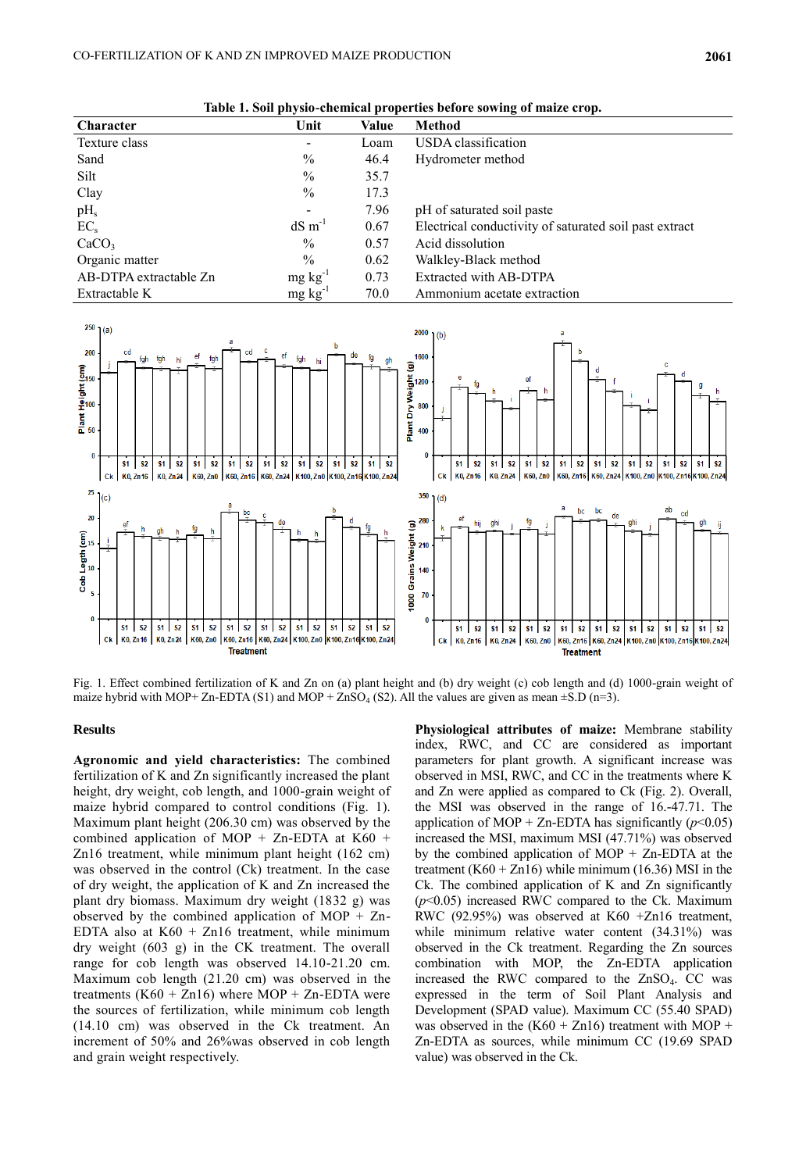AB-DTPA extractable  $Zn$  mg kg<sup>-1</sup>

Extractable K mg kg<sup>-1</sup>

Organic matter % 0.62 Walkley-Black method

| Table 1. Soil physio-chemical properties before sowing of maize crop. |                          |       |                                                        |  |  |  |  |
|-----------------------------------------------------------------------|--------------------------|-------|--------------------------------------------------------|--|--|--|--|
| Character                                                             | Unit                     | Value | Method                                                 |  |  |  |  |
| Texture class                                                         | $\overline{\phantom{a}}$ | Loam  | USDA classification                                    |  |  |  |  |
| Sand                                                                  | $\frac{0}{0}$            | 46.4  | Hydrometer method                                      |  |  |  |  |
| Silt                                                                  | $\%$                     | 35.7  |                                                        |  |  |  |  |
| Clay                                                                  | $\frac{0}{0}$            | 17.3  |                                                        |  |  |  |  |
| pH <sub>s</sub>                                                       | $\overline{\phantom{a}}$ | 7.96  | pH of saturated soil paste                             |  |  |  |  |
| $EC_{s}$                                                              | $dS \, \text{m}^{-1}$    | 0.67  | Electrical conductivity of saturated soil past extract |  |  |  |  |
| CaCO <sub>3</sub>                                                     | $\%$                     | 0.57  | Acid dissolution                                       |  |  |  |  |
|                                                                       |                          |       |                                                        |  |  |  |  |

0.73 Extracted with AB-DTPA

70.0 Ammonium acetate extraction

**Table 1. Soil physio-chemical properties before sowing of maize crop.**



Fig. 1. Effect combined fertilization of K and Zn on (a) plant height and (b) dry weight (c) cob length and (d) 1000-grain weight of maize hybrid with MOP+ Zn-EDTA (S1) and MOP + ZnSO<sub>4</sub> (S2). All the values are given as mean  $\pm$ S.D (n=3).

### **Results**

**Agronomic and yield characteristics:** The combined fertilization of K and Zn significantly increased the plant height, dry weight, cob length, and 1000-grain weight of maize hybrid compared to control conditions (Fig. 1). Maximum plant height (206.30 cm) was observed by the combined application of MOP + Zn-EDTA at K60 + Zn16 treatment, while minimum plant height (162 cm) was observed in the control (Ck) treatment. In the case of dry weight, the application of K and Zn increased the plant dry biomass. Maximum dry weight (1832 g) was observed by the combined application of MOP + Zn-EDTA also at  $K60 + Zn16$  treatment, while minimum dry weight (603 g) in the CK treatment. The overall range for cob length was observed 14.10-21.20 cm. Maximum cob length (21.20 cm) was observed in the treatments  $(K60 + Zn16)$  where MOP + Zn-EDTA were the sources of fertilization, while minimum cob length (14.10 cm) was observed in the Ck treatment. An increment of 50% and 26%was observed in cob length and grain weight respectively.

**Physiological attributes of maize:** Membrane stability index, RWC, and CC are considered as important parameters for plant growth. A significant increase was observed in MSI, RWC, and CC in the treatments where K and Zn were applied as compared to Ck (Fig. 2). Overall, the MSI was observed in the range of 16.-47.71. The application of MOP + Zn-EDTA has significantly  $(p<0.05)$ increased the MSI, maximum MSI (47.71%) was observed by the combined application of  $MOP + Zn$ -EDTA at the treatment  $(K60 + Zn16)$  while minimum (16.36) MSI in the Ck. The combined application of K and Zn significantly  $(p<0.05)$  increased RWC compared to the Ck. Maximum RWC (92.95%) was observed at K60 +Zn16 treatment, while minimum relative water content (34.31%) was observed in the Ck treatment. Regarding the Zn sources combination with MOP, the Zn-EDTA application increased the RWC compared to the  $ZnSO<sub>4</sub>$ . CC was expressed in the term of Soil Plant Analysis and Development (SPAD value). Maximum CC (55.40 SPAD) was observed in the  $(K60 + Zn16)$  treatment with MOP + Zn-EDTA as sources, while minimum CC (19.69 SPAD value) was observed in the Ck.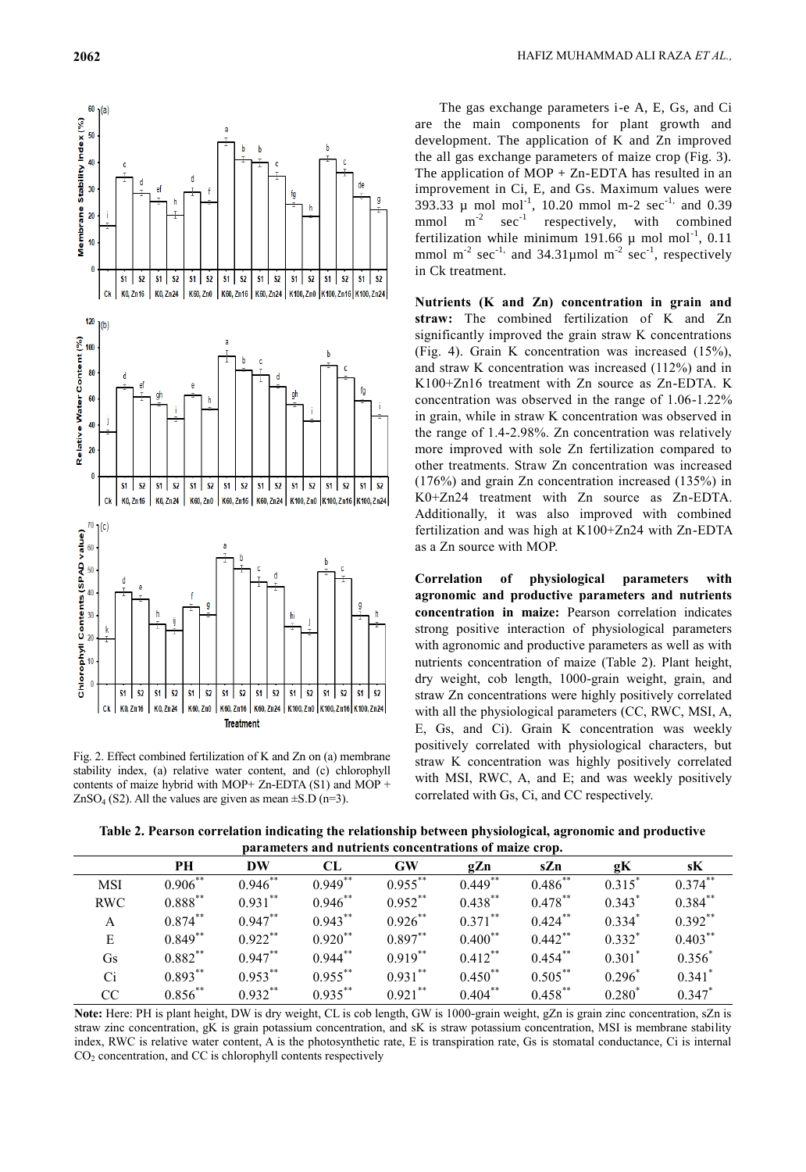

Fig. 2. Effect combined fertilization of K and Zn on (a) membrane stability index, (a) relative water content, and (c) chlorophyll contents of maize hybrid with MOP+ Zn-EDTA (S1) and MOP +  $ZnSO<sub>4</sub> (S2)$ . All the values are given as mean  $\pm$ S.D (n=3).

The gas exchange parameters i-e A, E, Gs, and Ci are the main components for plant growth and development. The application of K and Zn improved the all gas exchange parameters of maize crop (Fig. 3). The application of  $MOP + Zn$ -EDTA has resulted in an improvement in Ci, E, and Gs. Maximum values were 393.33  $\mu$  mol mol<sup>-1</sup>, 10.20 mmol m-2 sec<sup>-1,</sup> and 0.39  $mmol$   $m^{-2}$  $\sec^{-1}$  respectively, with combined fertilization while minimum 191.66  $\mu$  mol mol<sup>-1</sup>, 0.11 mmol m<sup>-2</sup> sec<sup>-1,</sup> and  $34.31 \mu$  mol m<sup>-2</sup> sec<sup>-1</sup>, respectively in Ck treatment.

**Nutrients (K and Zn) concentration in grain and straw:** The combined fertilization of K and Zn significantly improved the grain straw K concentrations (Fig. 4). Grain K concentration was increased (15%), and straw K concentration was increased (112%) and in K100+Zn16 treatment with Zn source as Zn-EDTA. K concentration was observed in the range of 1.06-1.22% in grain, while in straw K concentration was observed in the range of 1.4-2.98%. Zn concentration was relatively more improved with sole Zn fertilization compared to other treatments. Straw Zn concentration was increased (176%) and grain Zn concentration increased (135%) in K0+Zn24 treatment with Zn source as Zn-EDTA. Additionally, it was also improved with combined fertilization and was high at K100+Zn24 with Zn-EDTA as a Zn source with MOP.

**Correlation of physiological parameters with agronomic and productive parameters and nutrients concentration in maize:** Pearson correlation indicates strong positive interaction of physiological parameters with agronomic and productive parameters as well as with nutrients concentration of maize (Table 2). Plant height, dry weight, cob length, 1000-grain weight, grain, and straw Zn concentrations were highly positively correlated with all the physiological parameters (CC, RWC, MSI, A, E, Gs, and Ci). Grain K concentration was weekly positively correlated with physiological characters, but straw K concentration was highly positively correlated with MSI, RWC, A, and E; and was weekly positively correlated with Gs, Ci, and CC respectively.

**Table 2. Pearson correlation indicating the relationship between physiological, agronomic and productive parameters and nutrients concentrations of maize crop.**

|            | PН         | DW         | CL         | <b>GW</b>  | gZn        | sZn        | gК       | sK          |
|------------|------------|------------|------------|------------|------------|------------|----------|-------------|
| <b>MSI</b> | $0.906***$ | $0.946$ ** | $0.949**$  | $0.955***$ | $0.449**$  | $0.486$ ** | $0.315*$ | $0.374***$  |
| <b>RWC</b> | $0.888***$ | $0.931$ ** | $0.946$ ** | $0.952$ ** | $0.438$ ** | $0.478***$ | $0.343*$ | $0.384$ **  |
| A          | $0.874***$ | $0.947**$  | $0.943***$ | $0.926$ ** | $0.371***$ | $0.424***$ | $0.334*$ | $0.392**$   |
| E          | $0.849**$  | $0.922***$ | $0.920**$  | $0.897**$  | $0.400$ ** | $0.442$ ** | $0.332*$ | $0.403$ **  |
| Gs         | $0.882***$ | $0.947***$ | $0.944***$ | $0.919***$ | $0.412***$ | $0.454***$ | $0.301*$ | $0.356^{*}$ |
| Ci         | $0.893***$ | $0.953***$ | $0.955***$ | $0.931***$ | $0.450$ ** | $0.505***$ | $0.296*$ | $0.341$ *   |
| CC         | $0.856***$ | $0.932**$  | $0.935***$ | $0.921$ ** | $0.404***$ | $0.458***$ | $0.280*$ | $0.347*$    |

**Note:** Here: PH is plant height, DW is dry weight, CL is cob length, GW is 1000-grain weight, gZn is grain zinc concentration, sZn is straw zinc concentration, gK is grain potassium concentration, and sK is straw potassium concentration, MSI is membrane stability index, RWC is relative water content, A is the photosynthetic rate, E is transpiration rate, Gs is stomatal conductance, Ci is internal  $CO<sub>2</sub>$  concentration, and CC is chlorophyll contents respectively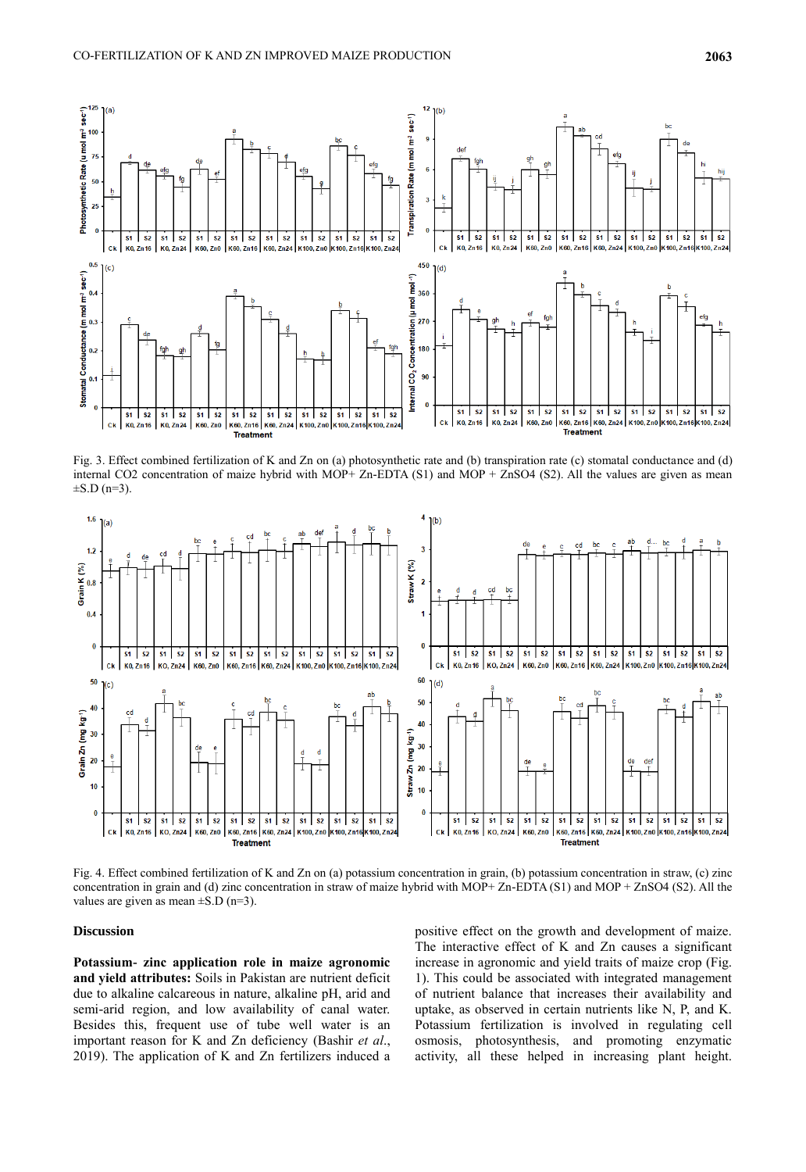

Fig. 3. Effect combined fertilization of K and Zn on (a) photosynthetic rate and (b) transpiration rate (c) stomatal conductance and (d) internal CO2 concentration of maize hybrid with MOP+ Zn-EDTA (S1) and MOP + ZnSO4 (S2). All the values are given as mean  $\pm$ S.D (n=3).



Fig. 4. Effect combined fertilization of K and Zn on (a) potassium concentration in grain, (b) potassium concentration in straw, (c) zinc concentration in grain and (d) zinc concentration in straw of maize hybrid with MOP+ Zn-EDTA (S1) and MOP + ZnSO4 (S2). All the values are given as mean  $\pm$ S.D (n=3).

#### **Discussion**

**Potassium- zinc application role in maize agronomic and yield attributes:** Soils in Pakistan are nutrient deficit due to alkaline calcareous in nature, alkaline pH, arid and semi-arid region, and low availability of canal water. Besides this, frequent use of tube well water is an important reason for K and Zn deficiency (Bashir *et al*., 2019). The application of K and Zn fertilizers induced a

positive effect on the growth and development of maize. The interactive effect of K and Zn causes a significant increase in agronomic and yield traits of maize crop (Fig. 1). This could be associated with integrated management of nutrient balance that increases their availability and uptake, as observed in certain nutrients like N, P, and K. Potassium fertilization is involved in regulating cell osmosis, photosynthesis, and promoting enzymatic activity, all these helped in increasing plant height.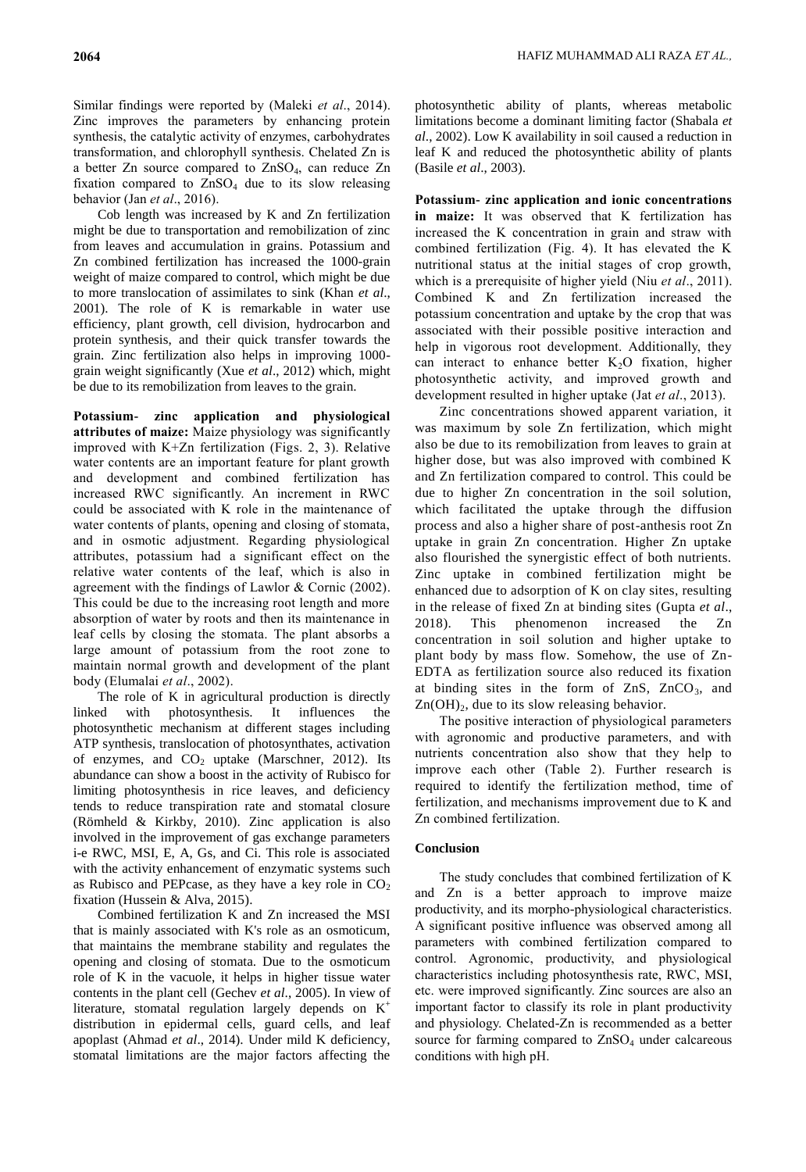Cob length was increased by K and Zn fertilization might be due to transportation and remobilization of zinc from leaves and accumulation in grains. Potassium and Zn combined fertilization has increased the 1000-grain weight of maize compared to control, which might be due to more translocation of assimilates to sink (Khan *et al*., 2001). The role of K is remarkable in water use efficiency, plant growth, cell division, hydrocarbon and protein synthesis, and their quick transfer towards the grain. Zinc fertilization also helps in improving 1000 grain weight significantly (Xue *et al*., 2012) which, might be due to its remobilization from leaves to the grain.

**Potassium- zinc application and physiological attributes of maize:** Maize physiology was significantly improved with K+Zn fertilization (Figs. 2, 3). Relative water contents are an important feature for plant growth and development and combined fertilization has increased RWC significantly. An increment in RWC could be associated with K role in the maintenance of water contents of plants, opening and closing of stomata, and in osmotic adjustment. Regarding physiological attributes, potassium had a significant effect on the relative water contents of the leaf, which is also in agreement with the findings of Lawlor & Cornic (2002). This could be due to the increasing root length and more absorption of water by roots and then its maintenance in leaf cells by closing the stomata. The plant absorbs a large amount of potassium from the root zone to maintain normal growth and development of the plant body (Elumalai *et al*., 2002).

The role of K in agricultural production is directly linked with photosynthesis. It influences the photosynthetic mechanism at different stages including ATP synthesis, translocation of photosynthates, activation of enzymes, and  $CO<sub>2</sub>$  uptake (Marschner, 2012). Its abundance can show a boost in the activity of Rubisco for limiting photosynthesis in rice leaves, and deficiency tends to reduce transpiration rate and stomatal closure (Römheld & Kirkby, 2010). Zinc application is also involved in the improvement of gas exchange parameters i-e RWC, MSI, E, A, Gs, and Ci. This role is associated with the activity enhancement of enzymatic systems such as Rubisco and PEPcase, as they have a key role in  $CO<sub>2</sub>$ fixation (Hussein & Alva, 2015).

Combined fertilization K and Zn increased the MSI that is mainly associated with K's role as an osmoticum, that maintains the membrane stability and regulates the opening and closing of stomata. Due to the osmoticum role of K in the vacuole, it helps in higher tissue water contents in the plant cell (Gechev *et al*., 2005). In view of literature, stomatal regulation largely depends on  $K^+$ distribution in epidermal cells, guard cells, and leaf apoplast (Ahmad *et al*., 2014). Under mild K deficiency, stomatal limitations are the major factors affecting the

photosynthetic ability of plants, whereas metabolic limitations become a dominant limiting factor (Shabala *et al*., 2002). Low K availability in soil caused a reduction in leaf K and reduced the photosynthetic ability of plants (Basile *et al*., 2003).

**Potassium- zinc application and ionic concentrations in maize:** It was observed that K fertilization has increased the K concentration in grain and straw with combined fertilization (Fig. 4). It has elevated the K nutritional status at the initial stages of crop growth, which is a prerequisite of higher yield (Niu *et al*., 2011). Combined K and Zn fertilization increased the potassium concentration and uptake by the crop that was associated with their possible positive interaction and help in vigorous root development. Additionally, they can interact to enhance better  $K<sub>2</sub>O$  fixation, higher photosynthetic activity, and improved growth and development resulted in higher uptake (Jat *et al*., 2013).

Zinc concentrations showed apparent variation, it was maximum by sole Zn fertilization, which might also be due to its remobilization from leaves to grain at higher dose, but was also improved with combined K and Zn fertilization compared to control. This could be due to higher Zn concentration in the soil solution, which facilitated the uptake through the diffusion process and also a higher share of post-anthesis root Zn uptake in grain Zn concentration. Higher Zn uptake also flourished the synergistic effect of both nutrients. Zinc uptake in combined fertilization might be enhanced due to adsorption of K on clay sites, resulting in the release of fixed Zn at binding sites (Gupta *et al*., 2018). This phenomenon increased the Zn concentration in soil solution and higher uptake to plant body by mass flow. Somehow, the use of Zn-EDTA as fertilization source also reduced its fixation at binding sites in the form of  $ZnS$ ,  $ZnCO<sub>3</sub>$ , and  $Zn(OH)<sub>2</sub>$ , due to its slow releasing behavior.

The positive interaction of physiological parameters with agronomic and productive parameters, and with nutrients concentration also show that they help to improve each other (Table 2). Further research is required to identify the fertilization method, time of fertilization, and mechanisms improvement due to K and Zn combined fertilization.

### **Conclusion**

The study concludes that combined fertilization of K and Zn is a better approach to improve maize productivity, and its morpho-physiological characteristics. A significant positive influence was observed among all parameters with combined fertilization compared to control. Agronomic, productivity, and physiological characteristics including photosynthesis rate, RWC, MSI, etc. were improved significantly. Zinc sources are also an important factor to classify its role in plant productivity and physiology. Chelated-Zn is recommended as a better source for farming compared to  $ZnSO<sub>4</sub>$  under calcareous conditions with high pH.